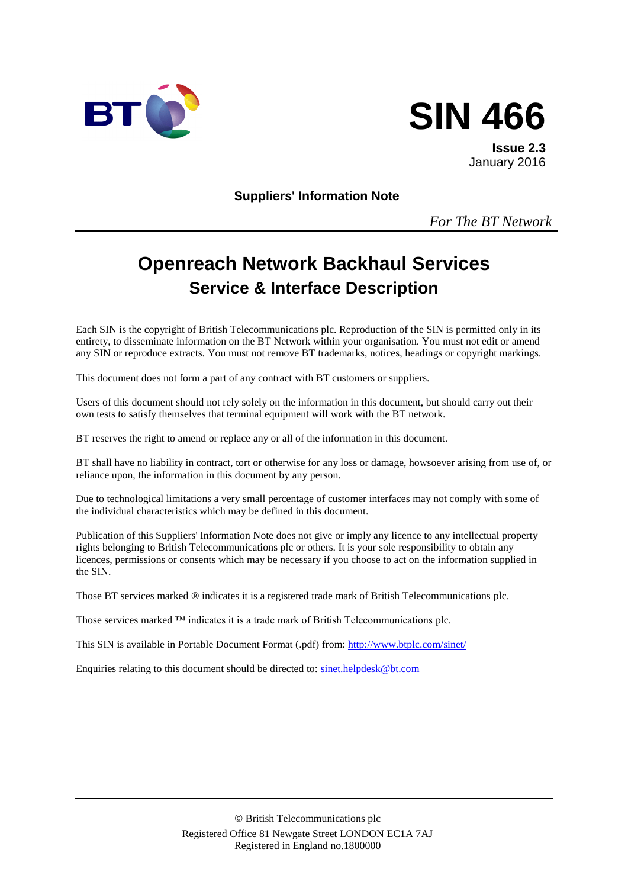



**Issue 2.3** January 2016

**Suppliers' Information Note**

*For The BT Network*

# **Openreach Network Backhaul Services Service & Interface Description**

Each SIN is the copyright of British Telecommunications plc. Reproduction of the SIN is permitted only in its entirety, to disseminate information on the BT Network within your organisation. You must not edit or amend any SIN or reproduce extracts. You must not remove BT trademarks, notices, headings or copyright markings.

This document does not form a part of any contract with BT customers or suppliers.

Users of this document should not rely solely on the information in this document, but should carry out their own tests to satisfy themselves that terminal equipment will work with the BT network.

BT reserves the right to amend or replace any or all of the information in this document.

BT shall have no liability in contract, tort or otherwise for any loss or damage, howsoever arising from use of, or reliance upon, the information in this document by any person.

Due to technological limitations a very small percentage of customer interfaces may not comply with some of the individual characteristics which may be defined in this document.

Publication of this Suppliers' Information Note does not give or imply any licence to any intellectual property rights belonging to British Telecommunications plc or others. It is your sole responsibility to obtain any licences, permissions or consents which may be necessary if you choose to act on the information supplied in the SIN.

Those BT services marked ® indicates it is a registered trade mark of British Telecommunications plc.

Those services marked ™ indicates it is a trade mark of British Telecommunications plc.

This SIN is available in Portable Document Format (.pdf) from: <http://www.btplc.com/sinet/>

Enquiries relating to this document should be directed to: [sinet.helpdesk@bt.com](mailto:sinet.helpdesk@bt.com)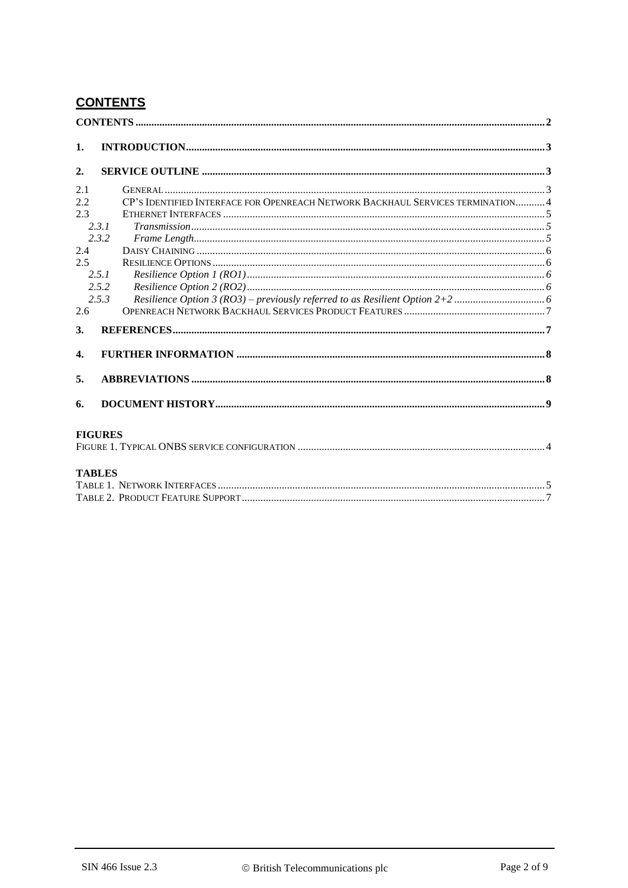# **CONTENTS**

| $\mathbf{1}$ .   |                |                                                                                 |  |
|------------------|----------------|---------------------------------------------------------------------------------|--|
|                  |                |                                                                                 |  |
| 2.               |                |                                                                                 |  |
| 2.1              |                |                                                                                 |  |
| 2.2              |                | CP'S IDENTIFIED INTERFACE FOR OPENREACH NETWORK BACKHAUL SERVICES TERMINATION 4 |  |
| 2.3              |                |                                                                                 |  |
|                  | 2.3.1          |                                                                                 |  |
|                  | 2.3.2          |                                                                                 |  |
| 2.4              |                |                                                                                 |  |
| 2.5              |                |                                                                                 |  |
|                  | 2.5.1          |                                                                                 |  |
|                  | 2.5.2          |                                                                                 |  |
|                  | 2.5.3          |                                                                                 |  |
| 2.6              |                |                                                                                 |  |
| 3.               |                |                                                                                 |  |
|                  |                |                                                                                 |  |
| $\overline{4}$ . |                |                                                                                 |  |
|                  |                |                                                                                 |  |
| 5.               |                |                                                                                 |  |
|                  |                |                                                                                 |  |
| 6.               |                |                                                                                 |  |
|                  |                |                                                                                 |  |
|                  |                |                                                                                 |  |
|                  | <b>FIGURES</b> |                                                                                 |  |
|                  |                |                                                                                 |  |
|                  |                |                                                                                 |  |
|                  | <b>TABLES</b>  |                                                                                 |  |
|                  |                |                                                                                 |  |
|                  |                |                                                                                 |  |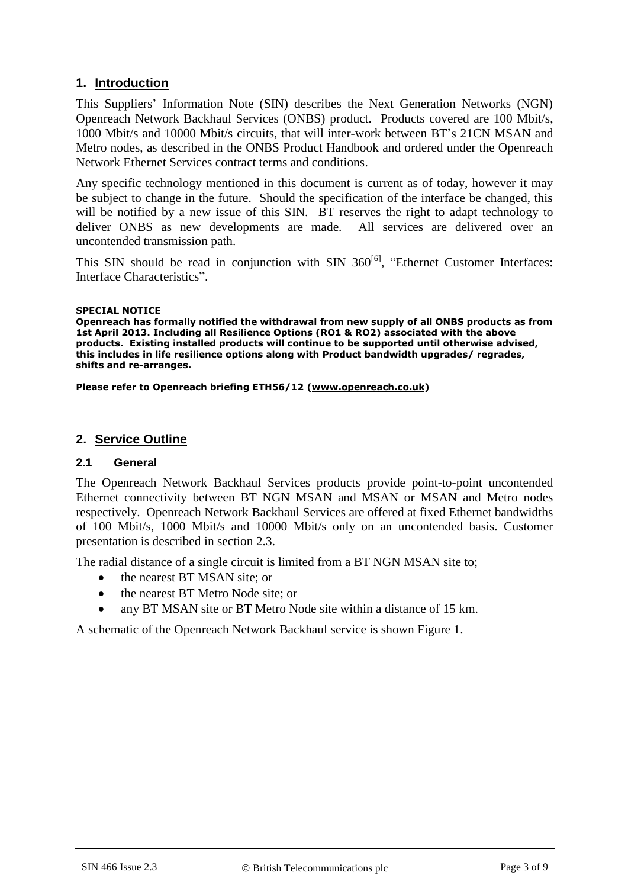## **1. Introduction**

This Suppliers' Information Note (SIN) describes the Next Generation Networks (NGN) Openreach Network Backhaul Services (ONBS) product. Products covered are 100 Mbit/s, 1000 Mbit/s and 10000 Mbit/s circuits, that will inter-work between BT's 21CN MSAN and Metro nodes, as described in the ONBS Product Handbook and ordered under the Openreach Network Ethernet Services contract terms and conditions.

Any specific technology mentioned in this document is current as of today, however it may be subject to change in the future. Should the specification of the interface be changed, this will be notified by a new issue of this SIN. BT reserves the right to adapt technology to deliver ONBS as new developments are made. All services are delivered over an uncontended transmission path.

This SIN should be read in conjunction with SIN 360<sup>[\[6\]](#page-6-0)</sup>, "Ethernet Customer Interfaces: Interface Characteristics".

#### **SPECIAL NOTICE**

**Openreach has formally notified the withdrawal from new supply of all ONBS products as from 1st April 2013. Including all Resilience Options (RO1 & RO2) associated with the above products. Existing installed products will continue to be supported until otherwise advised, this includes in life resilience options along with Product bandwidth upgrades/ regrades, shifts and re-arranges.** 

**Please refer to Openreach briefing ETH56/12 [\(www.openreach.co.uk\)](http://www.openreach.co.uk/)**

## **2. Service Outline**

#### **2.1 General**

The Openreach Network Backhaul Services products provide point-to-point uncontended Ethernet connectivity between BT NGN MSAN and MSAN or MSAN and Metro nodes respectively. Openreach Network Backhaul Services are offered at fixed Ethernet bandwidths of 100 Mbit/s, 1000 Mbit/s and 10000 Mbit/s only on an uncontended basis. Customer presentation is described in section [2.3.](#page-4-0)

The radial distance of a single circuit is limited from a BT NGN MSAN site to;

- the nearest BT MSAN site; or
- the nearest BT Metro Node site; or
- any BT MSAN site or BT Metro Node site within a distance of 15 km.

A schematic of the Openreach Network Backhaul service is shown [Figure 1.](#page-3-0)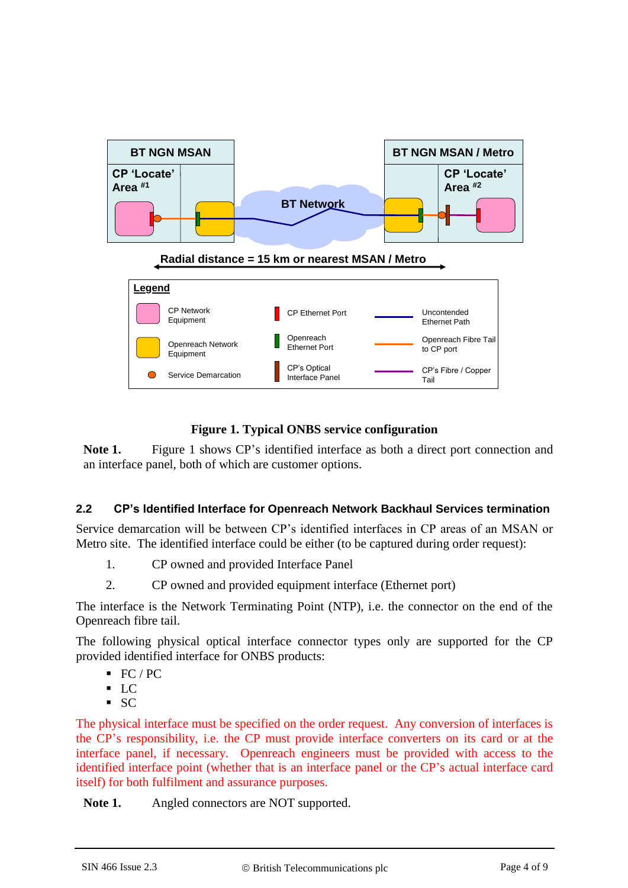

## **Figure 1. Typical ONBS service configuration**

<span id="page-3-0"></span>**Note 1.** Figure 1 shows CP's identified interface as both a direct port connection and an interface panel, both of which are customer options.

## **2.2 CP's Identified Interface for Openreach Network Backhaul Services termination**

Service demarcation will be between CP's identified interfaces in CP areas of an MSAN or Metro site. The identified interface could be either (to be captured during order request):

- 1. CP owned and provided Interface Panel
- 2. CP owned and provided equipment interface (Ethernet port)

The interface is the Network Terminating Point (NTP), i.e. the connector on the end of the Openreach fibre tail.

The following physical optical interface connector types only are supported for the CP provided identified interface for ONBS products:

- $\textsf{F}C / \textsf{PC}$
- $\overline{LC}$
- $S<sub>C</sub>$

The physical interface must be specified on the order request. Any conversion of interfaces is the CP's responsibility, i.e. the CP must provide interface converters on its card or at the interface panel, if necessary. Openreach engineers must be provided with access to the identified interface point (whether that is an interface panel or the CP's actual interface card itself) for both fulfilment and assurance purposes.

**Note 1.** Angled connectors are NOT supported.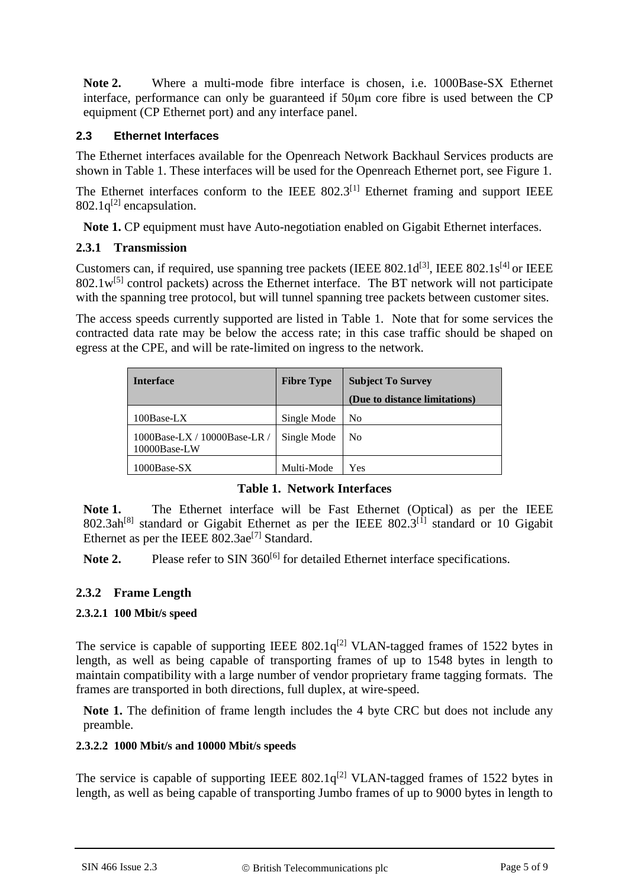**Note 2.** Where a multi-mode fibre interface is chosen, i.e. 1000Base-SX Ethernet interface, performance can only be guaranteed if 50μm core fibre is used between the CP equipment (CP Ethernet port) and any interface panel.

## <span id="page-4-0"></span>**2.3 Ethernet Interfaces**

The Ethernet interfaces available for the Openreach Network Backhaul Services products are shown in [Table 1. T](#page-4-1)hese interfaces will be used for the Openreach Ethernet port, see [Figure 1.](#page-3-0)

The Ethernet interfaces conform to the IEEE  $802.3$ <sup>[\[1\]](#page-6-1)</sup> Ethernet framing and support IEEE  $802.1q^{[2]}$  $802.1q^{[2]}$  $802.1q^{[2]}$  encapsulation.

**Note 1.** CP equipment must have Auto-negotiation enabled on Gigabit Ethernet interfaces.

## **2.3.1 Transmission**

Customers can, if required, use spanning tree packets (IEEE  $802.1d^{[3]}$  $802.1d^{[3]}$  $802.1d^{[3]}$ , IEEE  $802.1s^{[4]}$  $802.1s^{[4]}$  $802.1s^{[4]}$  or IEEE  $802.1w^{[5]}$  $802.1w^{[5]}$  $802.1w^{[5]}$  control packets) across the Ethernet interface. The BT network will not participate with the spanning tree protocol, but will tunnel spanning tree packets between customer sites.

The access speeds currently supported are listed in [Table 1.](#page-4-1) Note that for some services the contracted data rate may be below the access rate; in this case traffic should be shaped on egress at the CPE, and will be rate-limited on ingress to the network.

| <b>Interface</b>                                | <b>Fibre Type</b> | <b>Subject To Survey</b>      |
|-------------------------------------------------|-------------------|-------------------------------|
|                                                 |                   | (Due to distance limitations) |
| 100Base-LX                                      | Single Mode       | N <sub>0</sub>                |
| 1000Base-LX / $10000$ Base-LR /<br>10000Base-LW | Single Mode       | No.                           |
| $1000Base-SX$                                   | Multi-Mode        | Yes                           |

## **Table 1. Network Interfaces**

<span id="page-4-1"></span>**Note 1.** The Ethernet interface will be Fast Ethernet (Optical) as per the IEEE  $802.3ah^{[8]}$  $802.3ah^{[8]}$  $802.3ah^{[8]}$  standard or Gigabit Ethernet as per the IEEE  $802.3^{[1]}$  $802.3^{[1]}$  $802.3^{[1]}$  standard or 10 Gigabit Ethernet as per the IEEE  $802.3ae^{7}$  Standard.

Note 2. Please refer to SIN 360<sup>[\[6\]](#page-6-0)</sup> for detailed Ethernet interface specifications.

## **2.3.2 Frame Length**

## **2.3.2.1 100 Mbit/s speed**

The service is capable of supporting IEEE  $802.1q^{[2]}$  $802.1q^{[2]}$  $802.1q^{[2]}$  VLAN-tagged frames of 1522 bytes in length, as well as being capable of transporting frames of up to 1548 bytes in length to maintain compatibility with a large number of vendor proprietary frame tagging formats. The frames are transported in both directions, full duplex, at wire-speed.

Note 1. The definition of frame length includes the 4 byte CRC but does not include any preamble.

## **2.3.2.2 1000 Mbit/s and 10000 Mbit/s speeds**

The service is capable of supporting IEEE  $802.1q^{[2]}$  $802.1q^{[2]}$  $802.1q^{[2]}$  VLAN-tagged frames of 1522 bytes in length, as well as being capable of transporting Jumbo frames of up to 9000 bytes in length to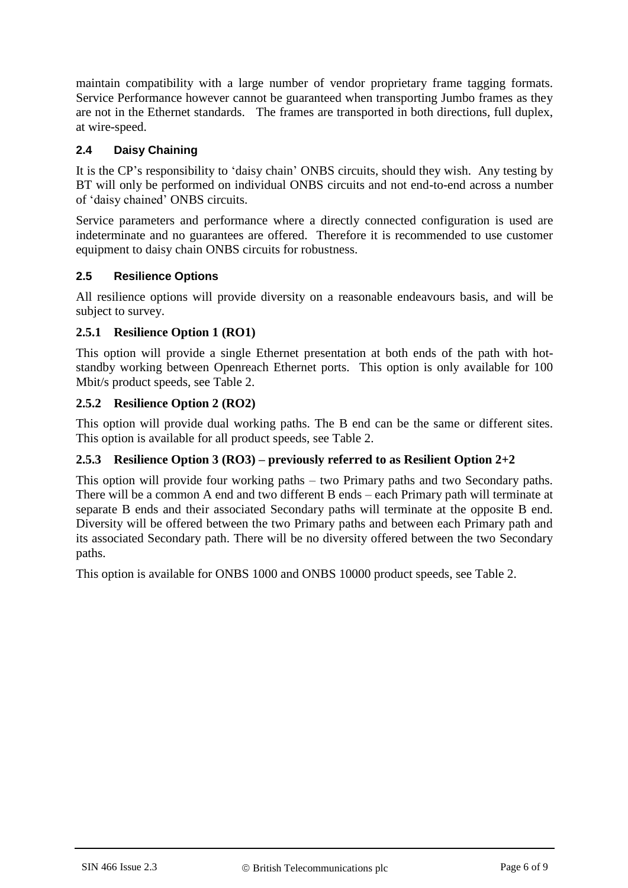maintain compatibility with a large number of vendor proprietary frame tagging formats. Service Performance however cannot be guaranteed when transporting Jumbo frames as they are not in the Ethernet standards. The frames are transported in both directions, full duplex, at wire-speed.

## **2.4 Daisy Chaining**

It is the CP's responsibility to 'daisy chain' ONBS circuits, should they wish. Any testing by BT will only be performed on individual ONBS circuits and not end-to-end across a number of 'daisy chained' ONBS circuits.

Service parameters and performance where a directly connected configuration is used are indeterminate and no guarantees are offered. Therefore it is recommended to use customer equipment to daisy chain ONBS circuits for robustness.

## **2.5 Resilience Options**

All resilience options will provide diversity on a reasonable endeavours basis, and will be subject to survey.

## **2.5.1 Resilience Option 1 (RO1)**

This option will provide a single Ethernet presentation at both ends of the path with hotstandby working between Openreach Ethernet ports. This option is only available for 100 Mbit/s product speeds, see [Table 2.](#page-6-7) 

## **2.5.2 Resilience Option 2 (RO2)**

This option will provide dual working paths. The B end can be the same or different sites. This option is available for all product speeds, see [Table 2.](#page-6-7) 

## **2.5.3 Resilience Option 3 (RO3) – previously referred to as Resilient Option 2+2**

This option will provide four working paths – two Primary paths and two Secondary paths. There will be a common A end and two different B ends – each Primary path will terminate at separate B ends and their associated Secondary paths will terminate at the opposite B end. Diversity will be offered between the two Primary paths and between each Primary path and its associated Secondary path. There will be no diversity offered between the two Secondary paths.

This option is available for ONBS 1000 and ONBS 10000 product speeds, see [Table 2.](#page-6-7)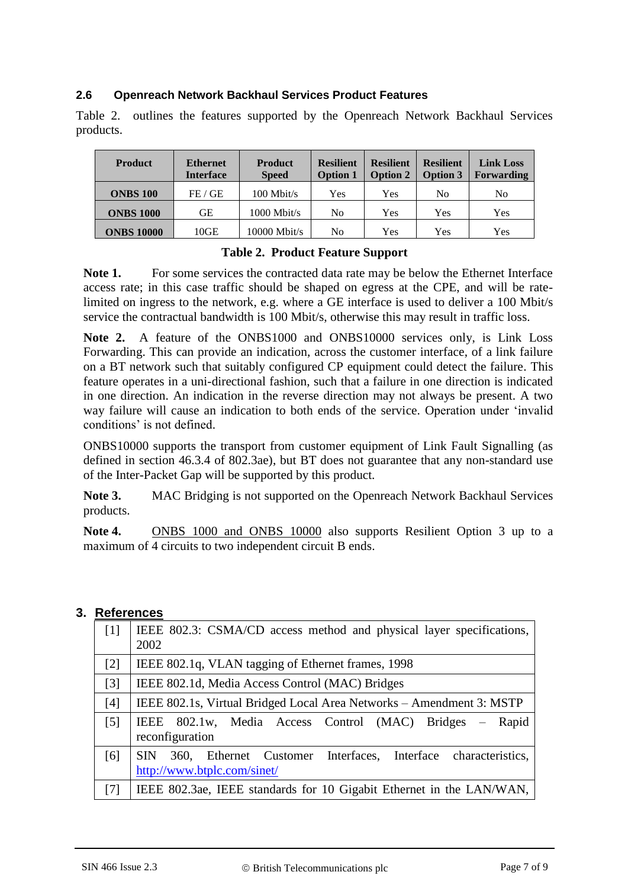## **2.6 Openreach Network Backhaul Services Product Features**

[Table 2.](#page-6-7) outlines the features supported by the Openreach Network Backhaul Services products.

| <b>Product</b>    | <b>Ethernet</b><br><b>Interface</b> | <b>Product</b><br><b>Speed</b> | <b>Resilient</b><br><b>Option 1</b> | <b>Resilient</b><br><b>Option 2</b> | <b>Resilient</b><br><b>Option 3</b> | <b>Link Loss</b><br><b>Forwarding</b> |
|-------------------|-------------------------------------|--------------------------------|-------------------------------------|-------------------------------------|-------------------------------------|---------------------------------------|
| <b>ONBS 100</b>   | FE / GE                             | $100$ Mbit/s                   | Yes                                 | Yes                                 | N <sub>0</sub>                      | No                                    |
| <b>ONBS 1000</b>  | GЕ                                  | $1000$ Mbit/s                  | N <sub>0</sub>                      | Yes                                 | Yes                                 | Yes                                   |
| <b>ONBS 10000</b> | 10GE                                | $10000$ Mbit/s                 | No                                  | Yes                                 | Yes                                 | Yes                                   |

## **Table 2. Product Feature Support**

<span id="page-6-7"></span>Note 1. For some services the contracted data rate may be below the Ethernet Interface access rate; in this case traffic should be shaped on egress at the CPE, and will be ratelimited on ingress to the network, e.g. where a GE interface is used to deliver a 100 Mbit/s service the contractual bandwidth is 100 Mbit/s, otherwise this may result in traffic loss.

**Note 2.** A feature of the ONBS1000 and ONBS10000 services only, is Link Loss Forwarding. This can provide an indication, across the customer interface, of a link failure on a BT network such that suitably configured CP equipment could detect the failure. This feature operates in a uni-directional fashion, such that a failure in one direction is indicated in one direction. An indication in the reverse direction may not always be present. A two way failure will cause an indication to both ends of the service. Operation under 'invalid conditions' is not defined.

ONBS10000 supports the transport from customer equipment of Link Fault Signalling (as defined in section 46.3.4 of 802.3ae), but BT does not guarantee that any non-standard use of the Inter-Packet Gap will be supported by this product.

**Note 3.** MAC Bridging is not supported on the Openreach Network Backhaul Services products.

**Note 4.** ONBS 1000 and ONBS 10000 also supports Resilient Option 3 up to a maximum of 4 circuits to two independent circuit B ends.

## **3. References**

<span id="page-6-6"></span><span id="page-6-5"></span><span id="page-6-4"></span><span id="page-6-3"></span><span id="page-6-2"></span><span id="page-6-1"></span><span id="page-6-0"></span>

| $[1]$             | IEEE 802.3: CSMA/CD access method and physical layer specifications,<br>2002                               |
|-------------------|------------------------------------------------------------------------------------------------------------|
| $[2]$             | IEEE 802.1q, VLAN tagging of Ethernet frames, 1998                                                         |
| $[3]$             | IEEE 802.1d, Media Access Control (MAC) Bridges                                                            |
| [4]               | IEEE 802.1s, Virtual Bridged Local Area Networks – Amendment 3: MSTP                                       |
| $\lceil 5 \rceil$ | 802.1w, Media Access Control (MAC) Bridges – Rapid<br>IEEE<br>reconfiguration                              |
| [6]               | 360, Ethernet Customer Interfaces, Interface characteristics,<br><b>SIN</b><br>http://www.btplc.com/sinet/ |
| [7]               | IEEE 802.3ae, IEEE standards for 10 Gigabit Ethernet in the LAN/WAN,                                       |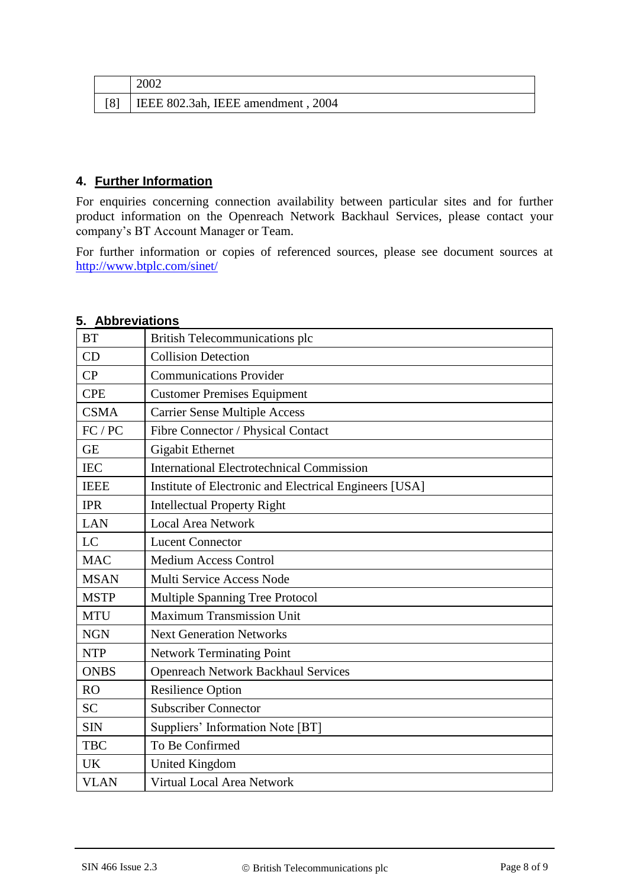<span id="page-7-0"></span>

| 2002                              |
|-----------------------------------|
| EEE 802.3ah, IEEE amendment, 2004 |

## **4. Further Information**

For enquiries concerning connection availability between particular sites and for further product information on the Openreach Network Backhaul Services, please contact your company's BT Account Manager or Team.

For further information or copies of referenced sources, please see document sources at <http://www.btplc.com/sinet/>

| <b>BT</b>                                                             | <b>British Telecommunications plc</b>            |  |  |
|-----------------------------------------------------------------------|--------------------------------------------------|--|--|
| CD                                                                    | <b>Collision Detection</b>                       |  |  |
| <b>Communications Provider</b><br>CP                                  |                                                  |  |  |
| <b>CPE</b>                                                            | <b>Customer Premises Equipment</b>               |  |  |
| <b>CSMA</b>                                                           | <b>Carrier Sense Multiple Access</b>             |  |  |
| FC / PC                                                               | Fibre Connector / Physical Contact               |  |  |
| <b>GE</b>                                                             | <b>Gigabit Ethernet</b>                          |  |  |
| <b>IEC</b>                                                            | <b>International Electrotechnical Commission</b> |  |  |
| Institute of Electronic and Electrical Engineers [USA]<br><b>IEEE</b> |                                                  |  |  |
| <b>IPR</b><br><b>Intellectual Property Right</b>                      |                                                  |  |  |
| <b>Local Area Network</b><br><b>LAN</b>                               |                                                  |  |  |
| LC<br><b>Lucent Connector</b>                                         |                                                  |  |  |
| <b>MAC</b><br><b>Medium Access Control</b>                            |                                                  |  |  |
| <b>MSAN</b><br>Multi Service Access Node                              |                                                  |  |  |
| <b>MSTP</b><br>Multiple Spanning Tree Protocol                        |                                                  |  |  |
| Maximum Transmission Unit<br><b>MTU</b>                               |                                                  |  |  |
| <b>NGN</b><br><b>Next Generation Networks</b>                         |                                                  |  |  |
| <b>NTP</b>                                                            | <b>Network Terminating Point</b>                 |  |  |
| <b>ONBS</b>                                                           | <b>Openreach Network Backhaul Services</b>       |  |  |
| <b>RO</b>                                                             | <b>Resilience Option</b>                         |  |  |
| <b>SC</b>                                                             | <b>Subscriber Connector</b>                      |  |  |
| <b>SIN</b>                                                            | Suppliers' Information Note [BT]                 |  |  |
| To Be Confirmed<br><b>TBC</b>                                         |                                                  |  |  |
| <b>UK</b>                                                             | <b>United Kingdom</b>                            |  |  |
| <b>VLAN</b>                                                           | Virtual Local Area Network                       |  |  |

## **5. Abbreviations**